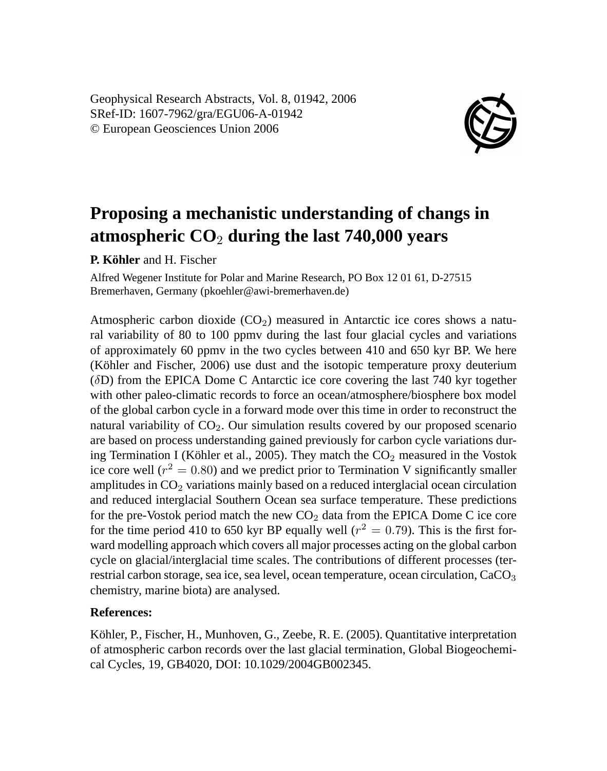Geophysical Research Abstracts, Vol. 8, 01942, 2006 SRef-ID: 1607-7962/gra/EGU06-A-01942 © European Geosciences Union 2006



## **Proposing a mechanistic understanding of changs in atmospheric CO**<sup>2</sup> **during the last 740,000 years**

**P. Köhler** and H. Fischer

Alfred Wegener Institute for Polar and Marine Research, PO Box 12 01 61, D-27515 Bremerhaven, Germany (pkoehler@awi-bremerhaven.de)

Atmospheric carbon dioxide  $(CO<sub>2</sub>)$  measured in Antarctic ice cores shows a natural variability of 80 to 100 ppmv during the last four glacial cycles and variations of approximately 60 ppmv in the two cycles between 410 and 650 kyr BP. We here (Köhler and Fischer, 2006) use dust and the isotopic temperature proxy deuterium (δD) from the EPICA Dome C Antarctic ice core covering the last 740 kyr together with other paleo-climatic records to force an ocean/atmosphere/biosphere box model of the global carbon cycle in a forward mode over this time in order to reconstruct the natural variability of  $CO<sub>2</sub>$ . Our simulation results covered by our proposed scenario are based on process understanding gained previously for carbon cycle variations during Termination I (Köhler et al., 2005). They match the  $CO<sub>2</sub>$  measured in the Vostok ice core well ( $r^2 = 0.80$ ) and we predict prior to Termination V significantly smaller amplitudes in  $CO<sub>2</sub>$  variations mainly based on a reduced interglacial ocean circulation and reduced interglacial Southern Ocean sea surface temperature. These predictions for the pre-Vostok period match the new  $CO<sub>2</sub>$  data from the EPICA Dome C ice core for the time period 410 to 650 kyr BP equally well ( $r^2 = 0.79$ ). This is the first forward modelling approach which covers all major processes acting on the global carbon cycle on glacial/interglacial time scales. The contributions of different processes (terrestrial carbon storage, sea ice, sea level, ocean temperature, ocean circulation, CaCO<sub>3</sub> chemistry, marine biota) are analysed.

## **References:**

Köhler, P., Fischer, H., Munhoven, G., Zeebe, R. E. (2005). Quantitative interpretation of atmospheric carbon records over the last glacial termination, Global Biogeochemical Cycles, 19, GB4020, DOI: 10.1029/2004GB002345.